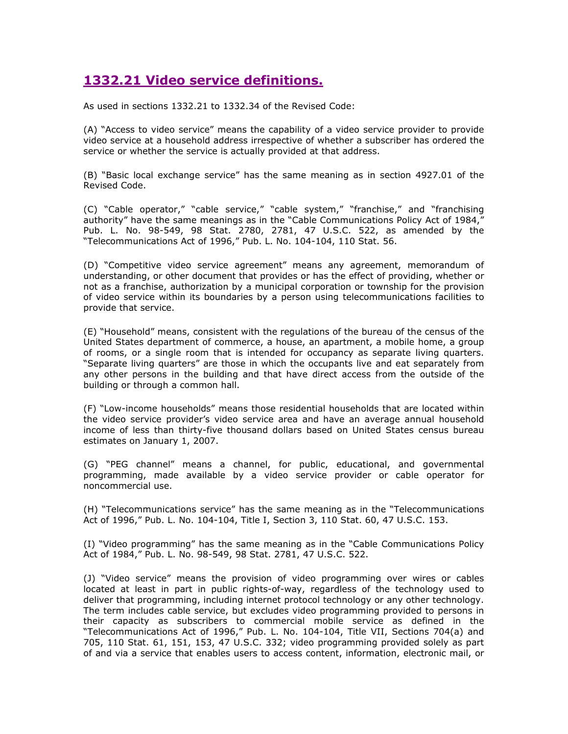## 1332.21 Video service definitions.

As used in sections 1332.21 to 1332.34 of the Revised Code:

(A) "Access to video service" means the capability of a video service provider to provide video service at a household address irrespective of whether a subscriber has ordered the service or whether the service is actually provided at that address.

(B) "Basic local exchange service" has the same meaning as in section 4927.01 of the Revised Code.

(C) "Cable operator," "cable service," "cable system," "franchise," and "franchising authority" have the same meanings as in the "Cable Communications Policy Act of 1984, Pub. L. No. 98-549, 98 Stat. 2780, 2781, 47 U.S.C. 522, as amended by the "Telecommunications Act of 1996," Pub. L. No. 104-104, 110 Stat. 56.

(D) "Competitive video service agreement" means any agreement, memorandum of understanding, or other document that provides or has the effect of providing, whether or not as a franchise, authorization by a municipal corporation or township for the provision of video service within its boundaries by a person using telecommunications facilities to provide that service.

(E) "Household" means, consistent with the regulations of the bureau of the census of the United States department of commerce, a house, an apartment, a mobile home, a group of rooms, or a single room that is intended for occupancy as separate living quarters. "Separate living quarters" are those in which the occupants live and eat separately from any other persons in the building and that have direct access from the outside of the building or through a common hall.

(F) "Low-income households" means those residential households that are located within the video service provider's video service area and have an average annual household income of less than thirty-five thousand dollars based on United States census bureau estimates on January 1, 2007.

(G) "PEG channel" means a channel, for public, educational, and governmental programming, made available by a video service provider or cable operator for noncommercial use.

(H) "Telecommunications service" has the same meaning as in the "Telecommunications Act of 1996," Pub. L. No. 104-104, Title I, Section 3, 110 Stat. 60, 47 U.S.C. 153.

(I) "Video programming" has the same meaning as in the "Cable Communications Policy Act of 1984," Pub. L. No. 98-549, 98 Stat. 2781, 47 U.S.C. 522.

(J) "Video service" means the provision of video programming over wires or cables located at least in part in public rights-of-way, regardless of the technology used to deliver that programming, including internet protocol technology or any other technology. The term includes cable service, but excludes video programming provided to persons in their capacity as subscribers to commercial mobile service as defined in the "Telecommunications Act of 1996," Pub. L. No. 104-104, Title VII, Sections 704(a) and 705, 110 Stat. 61, 151, 153, 47 U.S.C. 332; video programming provided solely as part of and via a service that enables users to access content, information, electronic mail, or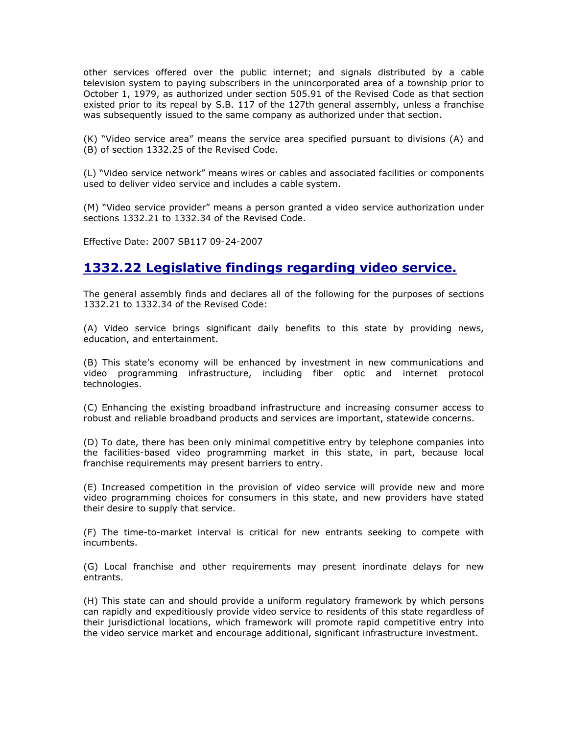other services offered over the public internet; and signals distributed by a cable television system to paying subscribers in the unincorporated area of a township prior to October 1, 1979, as authorized under section 505.91 of the Revised Code as that section existed prior to its repeal by S.B. 117 of the 127th general assembly, unless a franchise was subsequently issued to the same company as authorized under that section.

(K) "Video service area" means the service area specified pursuant to divisions (A) and (B) of section 1332.25 of the Revised Code.

(L) "Video service network" means wires or cables and associated facilities or components used to deliver video service and includes a cable system.

(M) "Video service provider" means a person granted a video service authorization under sections 1332.21 to 1332.34 of the Revised Code.

Effective Date: 2007 SB117 09-24-2007

#### 1332.22 Legislative findings regarding video service.

The general assembly finds and declares all of the following for the purposes of sections 1332.21 to 1332.34 of the Revised Code:

(A) Video service brings significant daily benefits to this state by providing news, education, and entertainment.

(B) This state's economy will be enhanced by investment in new communications and video programming infrastructure, including fiber optic and internet protocol technologies.

(C) Enhancing the existing broadband infrastructure and increasing consumer access to robust and reliable broadband products and services are important, statewide concerns.

(D) To date, there has been only minimal competitive entry by telephone companies into the facilities-based video programming market in this state, in part, because local franchise requirements may present barriers to entry.

(E) Increased competition in the provision of video service will provide new and more video programming choices for consumers in this state, and new providers have stated their desire to supply that service.

(F) The time-to-market interval is critical for new entrants seeking to compete with incumbents.

(G) Local franchise and other requirements may present inordinate delays for new entrants.

(H) This state can and should provide a uniform regulatory framework by which persons can rapidly and expeditiously provide video service to residents of this state regardless of their jurisdictional locations, which framework will promote rapid competitive entry into the video service market and encourage additional, significant infrastructure investment.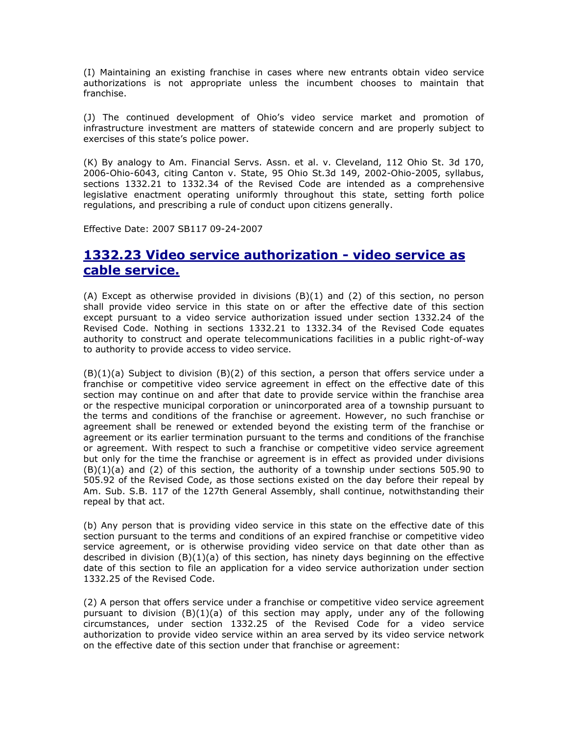(I) Maintaining an existing franchise in cases where new entrants obtain video service authorizations is not appropriate unless the incumbent chooses to maintain that franchise.

(J) The continued development of Ohio's video service market and promotion of infrastructure investment are matters of statewide concern and are properly subject to exercises of this state's police power.

(K) By analogy to Am. Financial Servs. Assn. et al. v. Cleveland, 112 Ohio St. 3d 170, 2006-Ohio-6043, citing Canton v. State, 95 Ohio St.3d 149, 2002-Ohio-2005, syllabus, sections 1332.21 to 1332.34 of the Revised Code are intended as a comprehensive legislative enactment operating uniformly throughout this state, setting forth police regulations, and prescribing a rule of conduct upon citizens generally.

Effective Date: 2007 SB117 09-24-2007

## 1332.23 Video service authorization - video service as cable service.

(A) Except as otherwise provided in divisions (B)(1) and (2) of this section, no person shall provide video service in this state on or after the effective date of this section except pursuant to a video service authorization issued under section 1332.24 of the Revised Code. Nothing in sections 1332.21 to 1332.34 of the Revised Code equates authority to construct and operate telecommunications facilities in a public right-of-way to authority to provide access to video service.

 $(B)(1)(a)$  Subject to division  $(B)(2)$  of this section, a person that offers service under a franchise or competitive video service agreement in effect on the effective date of this section may continue on and after that date to provide service within the franchise area or the respective municipal corporation or unincorporated area of a township pursuant to the terms and conditions of the franchise or agreement. However, no such franchise or agreement shall be renewed or extended beyond the existing term of the franchise or agreement or its earlier termination pursuant to the terms and conditions of the franchise or agreement. With respect to such a franchise or competitive video service agreement but only for the time the franchise or agreement is in effect as provided under divisions  $(B)(1)(a)$  and  $(2)$  of this section, the authority of a township under sections 505.90 to 505.92 of the Revised Code, as those sections existed on the day before their repeal by Am. Sub. S.B. 117 of the 127th General Assembly, shall continue, notwithstanding their repeal by that act.

(b) Any person that is providing video service in this state on the effective date of this section pursuant to the terms and conditions of an expired franchise or competitive video service agreement, or is otherwise providing video service on that date other than as described in division (B)(1)(a) of this section, has ninety days beginning on the effective date of this section to file an application for a video service authorization under section 1332.25 of the Revised Code.

(2) A person that offers service under a franchise or competitive video service agreement pursuant to division  $(B)(1)(a)$  of this section may apply, under any of the following circumstances, under section 1332.25 of the Revised Code for a video service authorization to provide video service within an area served by its video service network on the effective date of this section under that franchise or agreement: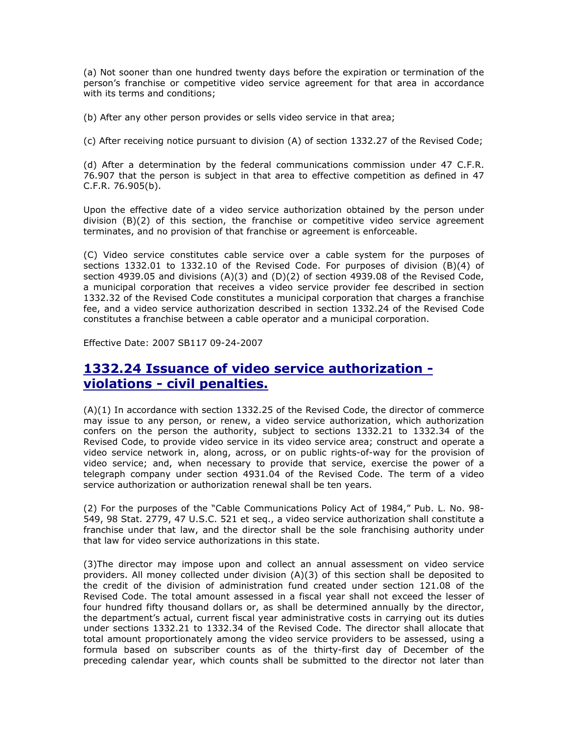(a) Not sooner than one hundred twenty days before the expiration or termination of the person's franchise or competitive video service agreement for that area in accordance with its terms and conditions;

(b) After any other person provides or sells video service in that area;

(c) After receiving notice pursuant to division (A) of section 1332.27 of the Revised Code;

(d) After a determination by the federal communications commission under 47 C.F.R. 76.907 that the person is subject in that area to effective competition as defined in 47 C.F.R. 76.905(b).

Upon the effective date of a video service authorization obtained by the person under division (B)(2) of this section, the franchise or competitive video service agreement terminates, and no provision of that franchise or agreement is enforceable.

(C) Video service constitutes cable service over a cable system for the purposes of sections 1332.01 to 1332.10 of the Revised Code. For purposes of division (B)(4) of section 4939.05 and divisions  $(A)(3)$  and  $(D)(2)$  of section 4939.08 of the Revised Code, a municipal corporation that receives a video service provider fee described in section 1332.32 of the Revised Code constitutes a municipal corporation that charges a franchise fee, and a video service authorization described in section 1332.24 of the Revised Code constitutes a franchise between a cable operator and a municipal corporation.

Effective Date: 2007 SB117 09-24-2007

## 1332.24 Issuance of video service authorization violations - civil penalties.

(A)(1) In accordance with section 1332.25 of the Revised Code, the director of commerce may issue to any person, or renew, a video service authorization, which authorization confers on the person the authority, subject to sections 1332.21 to 1332.34 of the Revised Code, to provide video service in its video service area; construct and operate a video service network in, along, across, or on public rights-of-way for the provision of video service; and, when necessary to provide that service, exercise the power of a telegraph company under section 4931.04 of the Revised Code. The term of a video service authorization or authorization renewal shall be ten years.

(2) For the purposes of the "Cable Communications Policy Act of 1984," Pub. L. No. 98- 549, 98 Stat. 2779, 47 U.S.C. 521 et seq., a video service authorization shall constitute a franchise under that law, and the director shall be the sole franchising authority under that law for video service authorizations in this state.

(3)The director may impose upon and collect an annual assessment on video service providers. All money collected under division (A)(3) of this section shall be deposited to the credit of the division of administration fund created under section 121.08 of the Revised Code. The total amount assessed in a fiscal year shall not exceed the lesser of four hundred fifty thousand dollars or, as shall be determined annually by the director, the department's actual, current fiscal year administrative costs in carrying out its duties under sections 1332.21 to 1332.34 of the Revised Code. The director shall allocate that total amount proportionately among the video service providers to be assessed, using a formula based on subscriber counts as of the thirty-first day of December of the preceding calendar year, which counts shall be submitted to the director not later than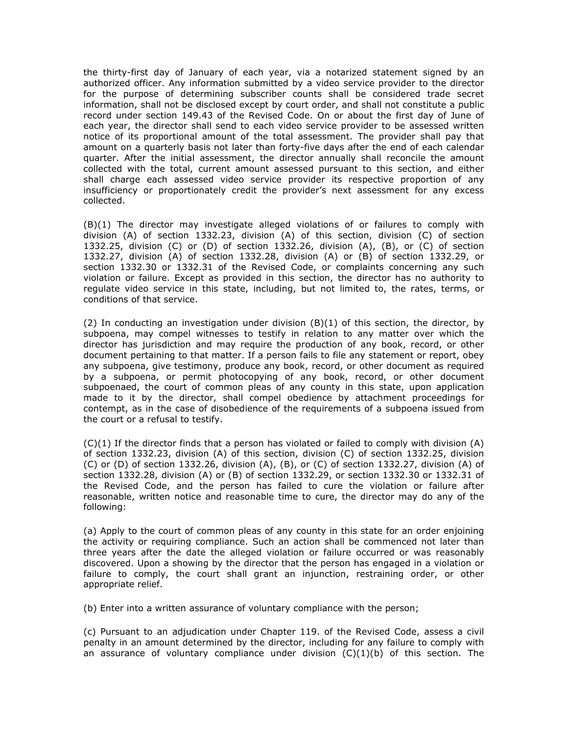the thirty-first day of January of each year, via a notarized statement signed by an authorized officer. Any information submitted by a video service provider to the director for the purpose of determining subscriber counts shall be considered trade secret information, shall not be disclosed except by court order, and shall not constitute a public record under section 149.43 of the Revised Code. On or about the first day of June of each year, the director shall send to each video service provider to be assessed written notice of its proportional amount of the total assessment. The provider shall pay that amount on a quarterly basis not later than forty-five days after the end of each calendar quarter. After the initial assessment, the director annually shall reconcile the amount collected with the total, current amount assessed pursuant to this section, and either shall charge each assessed video service provider its respective proportion of any insufficiency or proportionately credit the provider's next assessment for any excess collected.

(B)(1) The director may investigate alleged violations of or failures to comply with division (A) of section 1332.23, division (A) of this section, division (C) of section 1332.25, division (C) or (D) of section 1332.26, division (A), (B), or (C) of section 1332.27, division (A) of section 1332.28, division (A) or (B) of section 1332.29, or section 1332.30 or 1332.31 of the Revised Code, or complaints concerning any such violation or failure. Except as provided in this section, the director has no authority to regulate video service in this state, including, but not limited to, the rates, terms, or conditions of that service.

(2) In conducting an investigation under division  $(B)(1)$  of this section, the director, by subpoena, may compel witnesses to testify in relation to any matter over which the director has jurisdiction and may require the production of any book, record, or other document pertaining to that matter. If a person fails to file any statement or report, obey any subpoena, give testimony, produce any book, record, or other document as required by a subpoena, or permit photocopying of any book, record, or other document subpoenaed, the court of common pleas of any county in this state, upon application made to it by the director, shall compel obedience by attachment proceedings for contempt, as in the case of disobedience of the requirements of a subpoena issued from the court or a refusal to testify.

(C)(1) If the director finds that a person has violated or failed to comply with division (A) of section 1332.23, division (A) of this section, division (C) of section 1332.25, division (C) or (D) of section 1332.26, division (A), (B), or (C) of section 1332.27, division (A) of section 1332.28, division (A) or (B) of section 1332.29, or section 1332.30 or 1332.31 of the Revised Code, and the person has failed to cure the violation or failure after reasonable, written notice and reasonable time to cure, the director may do any of the following:

(a) Apply to the court of common pleas of any county in this state for an order enjoining the activity or requiring compliance. Such an action shall be commenced not later than three years after the date the alleged violation or failure occurred or was reasonably discovered. Upon a showing by the director that the person has engaged in a violation or failure to comply, the court shall grant an injunction, restraining order, or other appropriate relief.

(b) Enter into a written assurance of voluntary compliance with the person;

(c) Pursuant to an adjudication under Chapter 119. of the Revised Code, assess a civil penalty in an amount determined by the director, including for any failure to comply with an assurance of voluntary compliance under division  $(C)(1)(b)$  of this section. The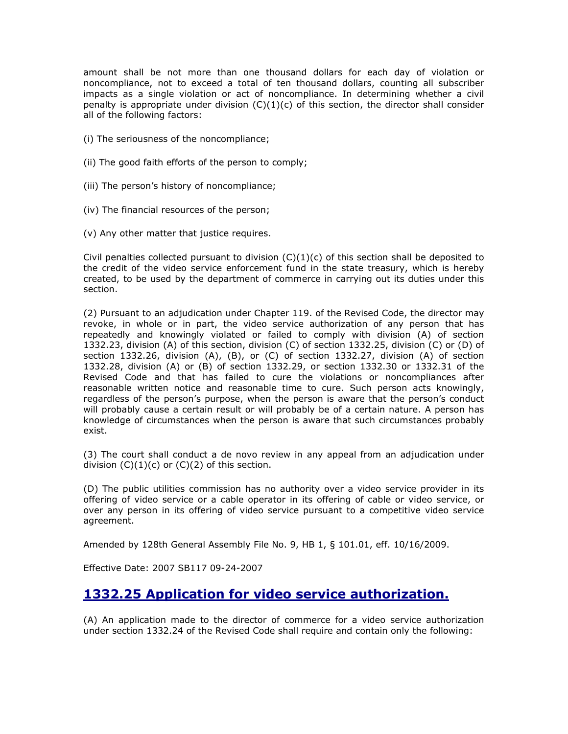amount shall be not more than one thousand dollars for each day of violation or noncompliance, not to exceed a total of ten thousand dollars, counting all subscriber impacts as a single violation or act of noncompliance. In determining whether a civil penalty is appropriate under division  $(C)(1)(c)$  of this section, the director shall consider all of the following factors:

- (i) The seriousness of the noncompliance;
- (ii) The good faith efforts of the person to comply;
- (iii) The person's history of noncompliance;
- (iv) The financial resources of the person;
- (v) Any other matter that justice requires.

Civil penalties collected pursuant to division  $(C)(1)(c)$  of this section shall be deposited to the credit of the video service enforcement fund in the state treasury, which is hereby created, to be used by the department of commerce in carrying out its duties under this section.

(2) Pursuant to an adjudication under Chapter 119. of the Revised Code, the director may revoke, in whole or in part, the video service authorization of any person that has repeatedly and knowingly violated or failed to comply with division (A) of section 1332.23, division (A) of this section, division (C) of section 1332.25, division (C) or (D) of section 1332.26, division (A), (B), or (C) of section 1332.27, division (A) of section 1332.28, division (A) or (B) of section 1332.29, or section 1332.30 or 1332.31 of the Revised Code and that has failed to cure the violations or noncompliances after reasonable written notice and reasonable time to cure. Such person acts knowingly, regardless of the person's purpose, when the person is aware that the person's conduct will probably cause a certain result or will probably be of a certain nature. A person has knowledge of circumstances when the person is aware that such circumstances probably exist.

(3) The court shall conduct a de novo review in any appeal from an adjudication under division  $(C)(1)(c)$  or  $(C)(2)$  of this section.

(D) The public utilities commission has no authority over a video service provider in its offering of video service or a cable operator in its offering of cable or video service, or over any person in its offering of video service pursuant to a competitive video service agreement.

Amended by 128th General Assembly File No. 9, HB 1, § 101.01, eff. 10/16/2009.

Effective Date: 2007 SB117 09-24-2007

#### 1332.25 Application for video service authorization.

(A) An application made to the director of commerce for a video service authorization under section 1332.24 of the Revised Code shall require and contain only the following: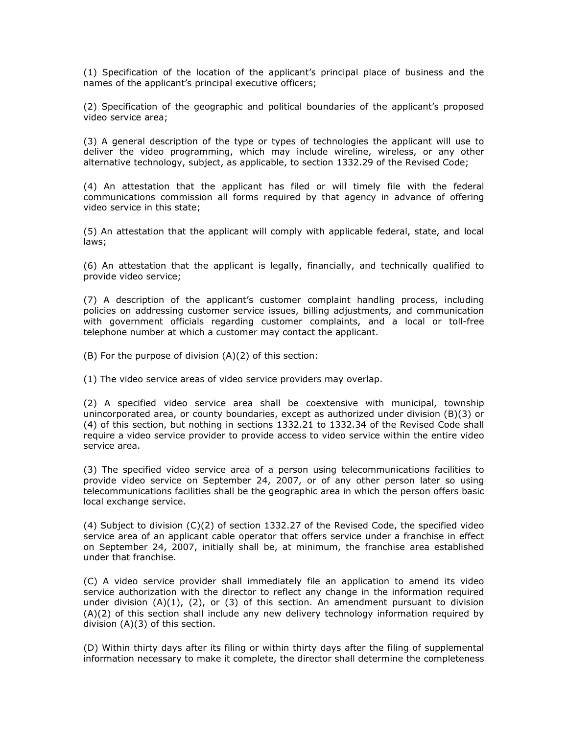(1) Specification of the location of the applicant's principal place of business and the names of the applicant's principal executive officers;

(2) Specification of the geographic and political boundaries of the applicant's proposed video service area;

(3) A general description of the type or types of technologies the applicant will use to deliver the video programming, which may include wireline, wireless, or any other alternative technology, subject, as applicable, to section 1332.29 of the Revised Code;

(4) An attestation that the applicant has filed or will timely file with the federal communications commission all forms required by that agency in advance of offering video service in this state;

(5) An attestation that the applicant will comply with applicable federal, state, and local laws;

(6) An attestation that the applicant is legally, financially, and technically qualified to provide video service;

(7) A description of the applicant's customer complaint handling process, including policies on addressing customer service issues, billing adjustments, and communication with government officials regarding customer complaints, and a local or toll-free telephone number at which a customer may contact the applicant.

(B) For the purpose of division (A)(2) of this section:

(1) The video service areas of video service providers may overlap.

(2) A specified video service area shall be coextensive with municipal, township unincorporated area, or county boundaries, except as authorized under division (B)(3) or (4) of this section, but nothing in sections 1332.21 to 1332.34 of the Revised Code shall require a video service provider to provide access to video service within the entire video service area.

(3) The specified video service area of a person using telecommunications facilities to provide video service on September 24, 2007, or of any other person later so using telecommunications facilities shall be the geographic area in which the person offers basic local exchange service.

(4) Subject to division (C)(2) of section 1332.27 of the Revised Code, the specified video service area of an applicant cable operator that offers service under a franchise in effect on September 24, 2007, initially shall be, at minimum, the franchise area established under that franchise.

(C) A video service provider shall immediately file an application to amend its video service authorization with the director to reflect any change in the information required under division  $(A)(1)$ ,  $(2)$ , or  $(3)$  of this section. An amendment pursuant to division (A)(2) of this section shall include any new delivery technology information required by division (A)(3) of this section.

(D) Within thirty days after its filing or within thirty days after the filing of supplemental information necessary to make it complete, the director shall determine the completeness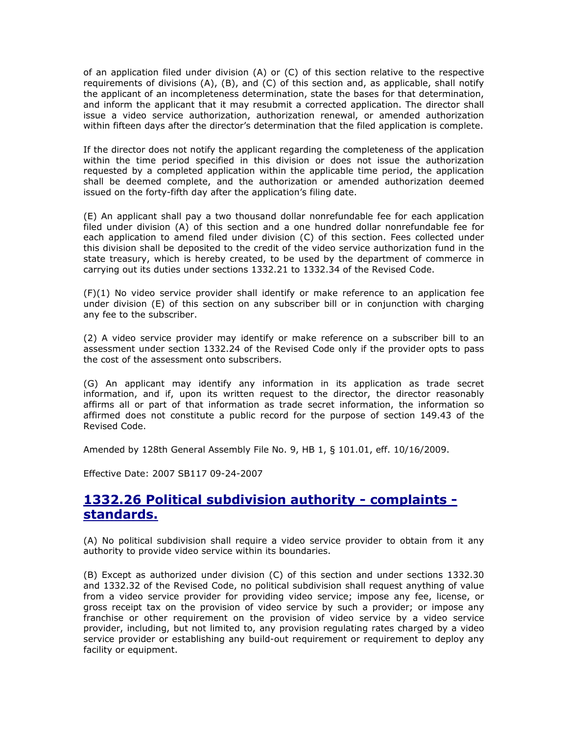of an application filed under division (A) or (C) of this section relative to the respective requirements of divisions (A), (B), and (C) of this section and, as applicable, shall notify the applicant of an incompleteness determination, state the bases for that determination, and inform the applicant that it may resubmit a corrected application. The director shall issue a video service authorization, authorization renewal, or amended authorization within fifteen days after the director's determination that the filed application is complete.

If the director does not notify the applicant regarding the completeness of the application within the time period specified in this division or does not issue the authorization requested by a completed application within the applicable time period, the application shall be deemed complete, and the authorization or amended authorization deemed issued on the forty-fifth day after the application's filing date.

(E) An applicant shall pay a two thousand dollar nonrefundable fee for each application filed under division (A) of this section and a one hundred dollar nonrefundable fee for each application to amend filed under division (C) of this section. Fees collected under this division shall be deposited to the credit of the video service authorization fund in the state treasury, which is hereby created, to be used by the department of commerce in carrying out its duties under sections 1332.21 to 1332.34 of the Revised Code.

(F)(1) No video service provider shall identify or make reference to an application fee under division (E) of this section on any subscriber bill or in conjunction with charging any fee to the subscriber.

(2) A video service provider may identify or make reference on a subscriber bill to an assessment under section 1332.24 of the Revised Code only if the provider opts to pass the cost of the assessment onto subscribers.

(G) An applicant may identify any information in its application as trade secret information, and if, upon its written request to the director, the director reasonably affirms all or part of that information as trade secret information, the information so affirmed does not constitute a public record for the purpose of section 149.43 of the Revised Code.

Amended by 128th General Assembly File No. 9, HB 1, § 101.01, eff. 10/16/2009.

Effective Date: 2007 SB117 09-24-2007

## 1332.26 Political subdivision authority - complaints standards.

(A) No political subdivision shall require a video service provider to obtain from it any authority to provide video service within its boundaries.

(B) Except as authorized under division (C) of this section and under sections 1332.30 and 1332.32 of the Revised Code, no political subdivision shall request anything of value from a video service provider for providing video service; impose any fee, license, or gross receipt tax on the provision of video service by such a provider; or impose any franchise or other requirement on the provision of video service by a video service provider, including, but not limited to, any provision regulating rates charged by a video service provider or establishing any build-out requirement or requirement to deploy any facility or equipment.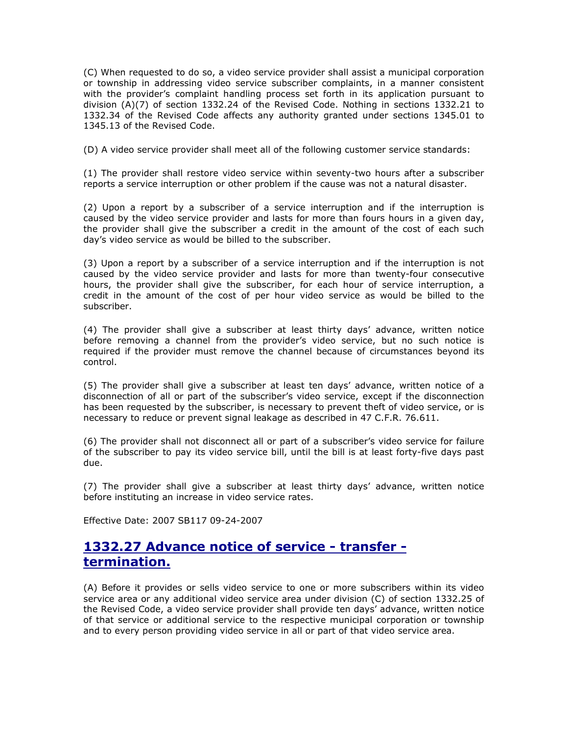(C) When requested to do so, a video service provider shall assist a municipal corporation or township in addressing video service subscriber complaints, in a manner consistent with the provider's complaint handling process set forth in its application pursuant to division (A)(7) of section 1332.24 of the Revised Code. Nothing in sections 1332.21 to 1332.34 of the Revised Code affects any authority granted under sections 1345.01 to 1345.13 of the Revised Code.

(D) A video service provider shall meet all of the following customer service standards:

(1) The provider shall restore video service within seventy-two hours after a subscriber reports a service interruption or other problem if the cause was not a natural disaster.

(2) Upon a report by a subscriber of a service interruption and if the interruption is caused by the video service provider and lasts for more than fours hours in a given day, the provider shall give the subscriber a credit in the amount of the cost of each such day's video service as would be billed to the subscriber.

(3) Upon a report by a subscriber of a service interruption and if the interruption is not caused by the video service provider and lasts for more than twenty-four consecutive hours, the provider shall give the subscriber, for each hour of service interruption, a credit in the amount of the cost of per hour video service as would be billed to the subscriber.

(4) The provider shall give a subscriber at least thirty days' advance, written notice before removing a channel from the provider's video service, but no such notice is required if the provider must remove the channel because of circumstances beyond its control.

(5) The provider shall give a subscriber at least ten days' advance, written notice of a disconnection of all or part of the subscriber's video service, except if the disconnection has been requested by the subscriber, is necessary to prevent theft of video service, or is necessary to reduce or prevent signal leakage as described in 47 C.F.R. 76.611.

(6) The provider shall not disconnect all or part of a subscriber's video service for failure of the subscriber to pay its video service bill, until the bill is at least forty-five days past due.

(7) The provider shall give a subscriber at least thirty days' advance, written notice before instituting an increase in video service rates.

Effective Date: 2007 SB117 09-24-2007

## 1332.27 Advance notice of service - transfer termination.

(A) Before it provides or sells video service to one or more subscribers within its video service area or any additional video service area under division (C) of section 1332.25 of the Revised Code, a video service provider shall provide ten days' advance, written notice of that service or additional service to the respective municipal corporation or township and to every person providing video service in all or part of that video service area.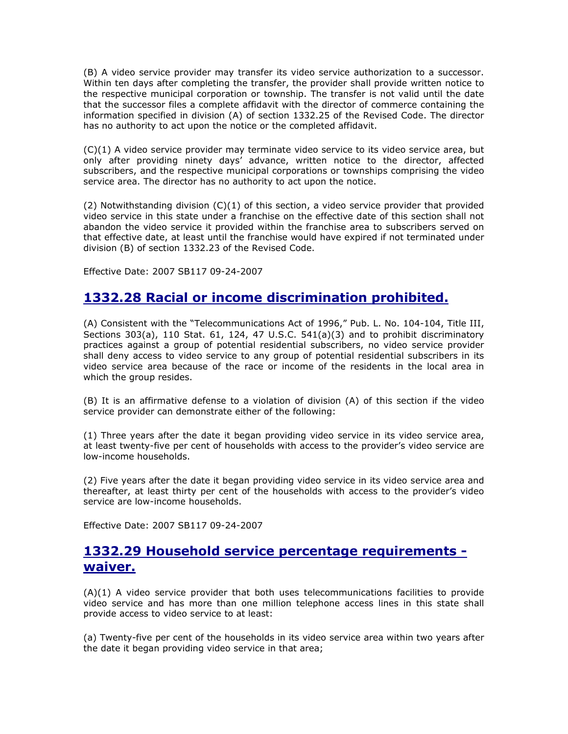(B) A video service provider may transfer its video service authorization to a successor. Within ten days after completing the transfer, the provider shall provide written notice to the respective municipal corporation or township. The transfer is not valid until the date that the successor files a complete affidavit with the director of commerce containing the information specified in division (A) of section 1332.25 of the Revised Code. The director has no authority to act upon the notice or the completed affidavit.

(C)(1) A video service provider may terminate video service to its video service area, but only after providing ninety days' advance, written notice to the director, affected subscribers, and the respective municipal corporations or townships comprising the video service area. The director has no authority to act upon the notice.

(2) Notwithstanding division  $(C)(1)$  of this section, a video service provider that provided video service in this state under a franchise on the effective date of this section shall not abandon the video service it provided within the franchise area to subscribers served on that effective date, at least until the franchise would have expired if not terminated under division (B) of section 1332.23 of the Revised Code.

Effective Date: 2007 SB117 09-24-2007

## 1332.28 Racial or income discrimination prohibited.

(A) Consistent with the "Telecommunications Act of 1996," Pub. L. No. 104-104, Title III, Sections  $303(a)$ ,  $110$  Stat. 61, 124, 47 U.S.C.  $541(a)(3)$  and to prohibit discriminatory practices against a group of potential residential subscribers, no video service provider shall deny access to video service to any group of potential residential subscribers in its video service area because of the race or income of the residents in the local area in which the group resides.

(B) It is an affirmative defense to a violation of division (A) of this section if the video service provider can demonstrate either of the following:

(1) Three years after the date it began providing video service in its video service area, at least twenty-five per cent of households with access to the provider's video service are low-income households.

(2) Five years after the date it began providing video service in its video service area and thereafter, at least thirty per cent of the households with access to the provider's video service are low-income households.

Effective Date: 2007 SB117 09-24-2007

## 1332.29 Household service percentage requirements waiver.

(A)(1) A video service provider that both uses telecommunications facilities to provide video service and has more than one million telephone access lines in this state shall provide access to video service to at least:

(a) Twenty-five per cent of the households in its video service area within two years after the date it began providing video service in that area;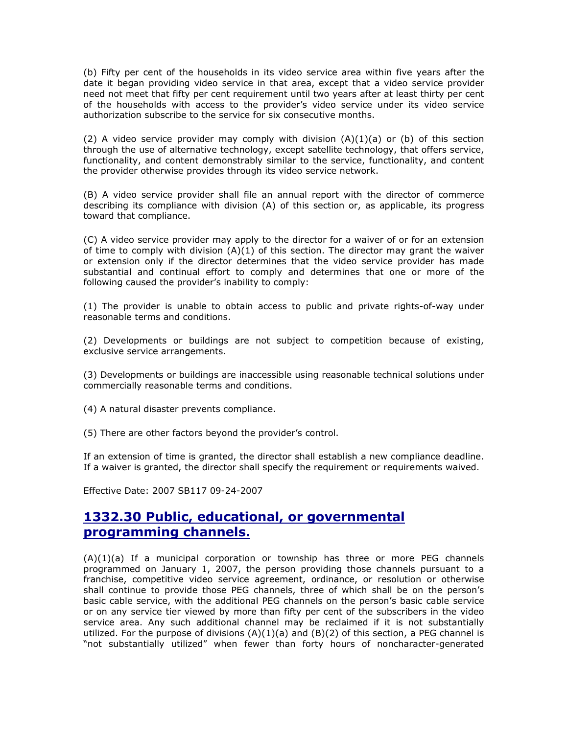(b) Fifty per cent of the households in its video service area within five years after the date it began providing video service in that area, except that a video service provider need not meet that fifty per cent requirement until two years after at least thirty per cent of the households with access to the provider's video service under its video service authorization subscribe to the service for six consecutive months.

(2) A video service provider may comply with division  $(A)(1)(a)$  or (b) of this section through the use of alternative technology, except satellite technology, that offers service, functionality, and content demonstrably similar to the service, functionality, and content the provider otherwise provides through its video service network.

(B) A video service provider shall file an annual report with the director of commerce describing its compliance with division (A) of this section or, as applicable, its progress toward that compliance.

(C) A video service provider may apply to the director for a waiver of or for an extension of time to comply with division  $(A)(1)$  of this section. The director may grant the waiver or extension only if the director determines that the video service provider has made substantial and continual effort to comply and determines that one or more of the following caused the provider's inability to comply:

(1) The provider is unable to obtain access to public and private rights-of-way under reasonable terms and conditions.

(2) Developments or buildings are not subject to competition because of existing, exclusive service arrangements.

(3) Developments or buildings are inaccessible using reasonable technical solutions under commercially reasonable terms and conditions.

(4) A natural disaster prevents compliance.

(5) There are other factors beyond the provider's control.

If an extension of time is granted, the director shall establish a new compliance deadline. If a waiver is granted, the director shall specify the requirement or requirements waived.

Effective Date: 2007 SB117 09-24-2007

## 1332.30 Public, educational, or governmental programming channels.

 $(A)(1)(a)$  If a municipal corporation or township has three or more PEG channels programmed on January 1, 2007, the person providing those channels pursuant to a franchise, competitive video service agreement, ordinance, or resolution or otherwise shall continue to provide those PEG channels, three of which shall be on the person's basic cable service, with the additional PEG channels on the person's basic cable service or on any service tier viewed by more than fifty per cent of the subscribers in the video service area. Any such additional channel may be reclaimed if it is not substantially utilized. For the purpose of divisions  $(A)(1)(a)$  and  $(B)(2)$  of this section, a PEG channel is "not substantially utilized" when fewer than forty hours of noncharacter-generated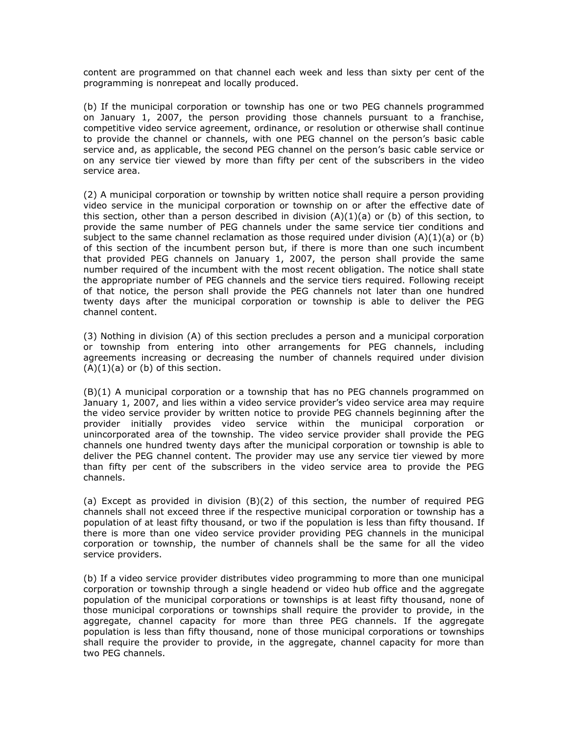content are programmed on that channel each week and less than sixty per cent of the programming is nonrepeat and locally produced.

(b) If the municipal corporation or township has one or two PEG channels programmed on January 1, 2007, the person providing those channels pursuant to a franchise, competitive video service agreement, ordinance, or resolution or otherwise shall continue to provide the channel or channels, with one PEG channel on the person's basic cable service and, as applicable, the second PEG channel on the person's basic cable service or on any service tier viewed by more than fifty per cent of the subscribers in the video service area.

(2) A municipal corporation or township by written notice shall require a person providing video service in the municipal corporation or township on or after the effective date of this section, other than a person described in division  $(A)(1)(a)$  or (b) of this section, to provide the same number of PEG channels under the same service tier conditions and subject to the same channel reclamation as those required under division  $(A)(1)(a)$  or (b) of this section of the incumbent person but, if there is more than one such incumbent that provided PEG channels on January 1, 2007, the person shall provide the same number required of the incumbent with the most recent obligation. The notice shall state the appropriate number of PEG channels and the service tiers required. Following receipt of that notice, the person shall provide the PEG channels not later than one hundred twenty days after the municipal corporation or township is able to deliver the PEG channel content.

(3) Nothing in division (A) of this section precludes a person and a municipal corporation or township from entering into other arrangements for PEG channels, including agreements increasing or decreasing the number of channels required under division  $(A)(1)(a)$  or  $(b)$  of this section.

(B)(1) A municipal corporation or a township that has no PEG channels programmed on January 1, 2007, and lies within a video service provider's video service area may require the video service provider by written notice to provide PEG channels beginning after the provider initially provides video service within the municipal corporation or unincorporated area of the township. The video service provider shall provide the PEG channels one hundred twenty days after the municipal corporation or township is able to deliver the PEG channel content. The provider may use any service tier viewed by more than fifty per cent of the subscribers in the video service area to provide the PEG channels.

(a) Except as provided in division (B)(2) of this section, the number of required PEG channels shall not exceed three if the respective municipal corporation or township has a population of at least fifty thousand, or two if the population is less than fifty thousand. If there is more than one video service provider providing PEG channels in the municipal corporation or township, the number of channels shall be the same for all the video service providers.

(b) If a video service provider distributes video programming to more than one municipal corporation or township through a single headend or video hub office and the aggregate population of the municipal corporations or townships is at least fifty thousand, none of those municipal corporations or townships shall require the provider to provide, in the aggregate, channel capacity for more than three PEG channels. If the aggregate population is less than fifty thousand, none of those municipal corporations or townships shall require the provider to provide, in the aggregate, channel capacity for more than two PEG channels.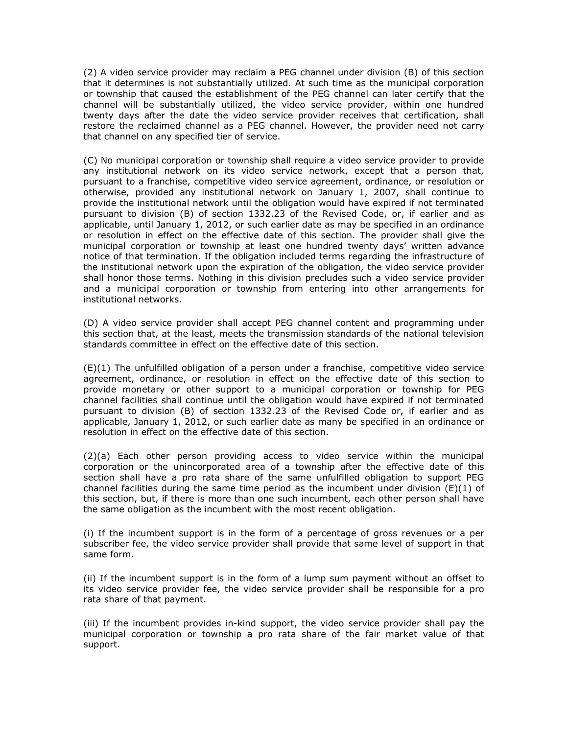(2) A video service provider may reclaim a PEG channel under division (B) of this section that it determines is not substantially utilized. At such time as the municipal corporation or township that caused the establishment of the PEG channel can later certify that the channel will be substantially utilized, the video service provider, within one hundred twenty days after the date the video service provider receives that certification, shall restore the reclaimed channel as a PEG channel. However, the provider need not carry that channel on any specified tier of service.

(C) No municipal corporation or township shall require a video service provider to provide any institutional network on its video service network, except that a person that, pursuant to a franchise, competitive video service agreement, ordinance, or resolution or otherwise, provided any institutional network on January 1, 2007, shall continue to provide the institutional network until the obligation would have expired if not terminated pursuant to division (B) of section 1332.23 of the Revised Code, or, if earlier and as applicable, until January 1, 2012, or such earlier date as may be specified in an ordinance or resolution in effect on the effective date of this section. The provider shall give the municipal corporation or township at least one hundred twenty days' written advance notice of that termination. If the obligation included terms regarding the infrastructure of the institutional network upon the expiration of the obligation, the video service provider shall honor those terms. Nothing in this division precludes such a video service provider and a municipal corporation or township from entering into other arrangements for institutional networks.

(D) A video service provider shall accept PEG channel content and programming under this section that, at the least, meets the transmission standards of the national television standards committee in effect on the effective date of this section.

(E)(1) The unfulfilled obligation of a person under a franchise, competitive video service agreement, ordinance, or resolution in effect on the effective date of this section to provide monetary or other support to a municipal corporation or township for PEG channel facilities shall continue until the obligation would have expired if not terminated pursuant to division (B) of section 1332.23 of the Revised Code or, if earlier and as applicable, January 1, 2012, or such earlier date as many be specified in an ordinance or resolution in effect on the effective date of this section.

(2)(a) Each other person providing access to video service within the municipal corporation or the unincorporated area of a township after the effective date of this section shall have a pro rata share of the same unfulfilled obligation to support PEG channel facilities during the same time period as the incumbent under division  $(E)(1)$  of this section, but, if there is more than one such incumbent, each other person shall have the same obligation as the incumbent with the most recent obligation.

(i) If the incumbent support is in the form of a percentage of gross revenues or a per subscriber fee, the video service provider shall provide that same level of support in that same form.

(ii) If the incumbent support is in the form of a lump sum payment without an offset to its video service provider fee, the video service provider shall be responsible for a pro rata share of that payment.

(iii) If the incumbent provides in-kind support, the video service provider shall pay the municipal corporation or township a pro rata share of the fair market value of that support.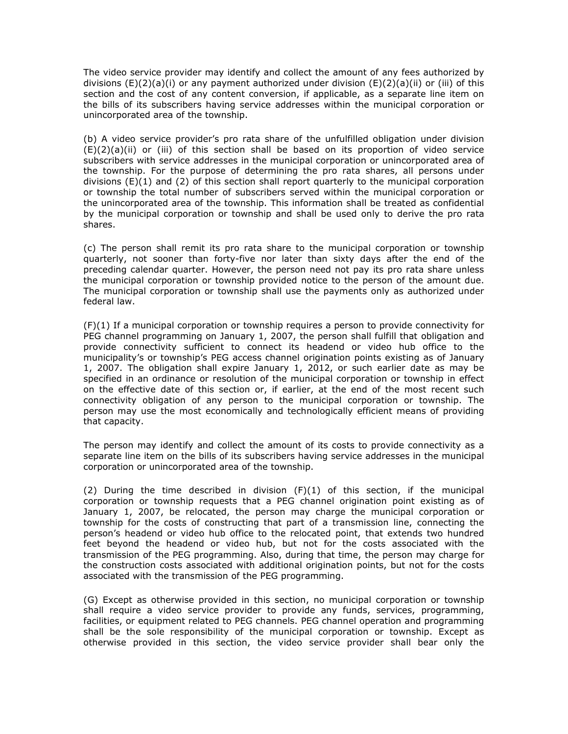The video service provider may identify and collect the amount of any fees authorized by divisions (E)(2)(a)(i) or any payment authorized under division (E)(2)(a)(ii) or (iii) of this section and the cost of any content conversion, if applicable, as a separate line item on the bills of its subscribers having service addresses within the municipal corporation or unincorporated area of the township.

(b) A video service provider's pro rata share of the unfulfilled obligation under division (E)(2)(a)(ii) or (iii) of this section shall be based on its proportion of video service subscribers with service addresses in the municipal corporation or unincorporated area of the township. For the purpose of determining the pro rata shares, all persons under divisions (E)(1) and (2) of this section shall report quarterly to the municipal corporation or township the total number of subscribers served within the municipal corporation or the unincorporated area of the township. This information shall be treated as confidential by the municipal corporation or township and shall be used only to derive the pro rata shares.

(c) The person shall remit its pro rata share to the municipal corporation or township quarterly, not sooner than forty-five nor later than sixty days after the end of the preceding calendar quarter. However, the person need not pay its pro rata share unless the municipal corporation or township provided notice to the person of the amount due. The municipal corporation or township shall use the payments only as authorized under federal law.

(F)(1) If a municipal corporation or township requires a person to provide connectivity for PEG channel programming on January 1, 2007, the person shall fulfill that obligation and provide connectivity sufficient to connect its headend or video hub office to the municipality's or township's PEG access channel origination points existing as of January 1, 2007. The obligation shall expire January 1, 2012, or such earlier date as may be specified in an ordinance or resolution of the municipal corporation or township in effect on the effective date of this section or, if earlier, at the end of the most recent such connectivity obligation of any person to the municipal corporation or township. The person may use the most economically and technologically efficient means of providing that capacity.

The person may identify and collect the amount of its costs to provide connectivity as a separate line item on the bills of its subscribers having service addresses in the municipal corporation or unincorporated area of the township.

(2) During the time described in division (F)(1) of this section, if the municipal corporation or township requests that a PEG channel origination point existing as of January 1, 2007, be relocated, the person may charge the municipal corporation or township for the costs of constructing that part of a transmission line, connecting the person's headend or video hub office to the relocated point, that extends two hundred feet beyond the headend or video hub, but not for the costs associated with the transmission of the PEG programming. Also, during that time, the person may charge for the construction costs associated with additional origination points, but not for the costs associated with the transmission of the PEG programming.

(G) Except as otherwise provided in this section, no municipal corporation or township shall require a video service provider to provide any funds, services, programming, facilities, or equipment related to PEG channels. PEG channel operation and programming shall be the sole responsibility of the municipal corporation or township. Except as otherwise provided in this section, the video service provider shall bear only the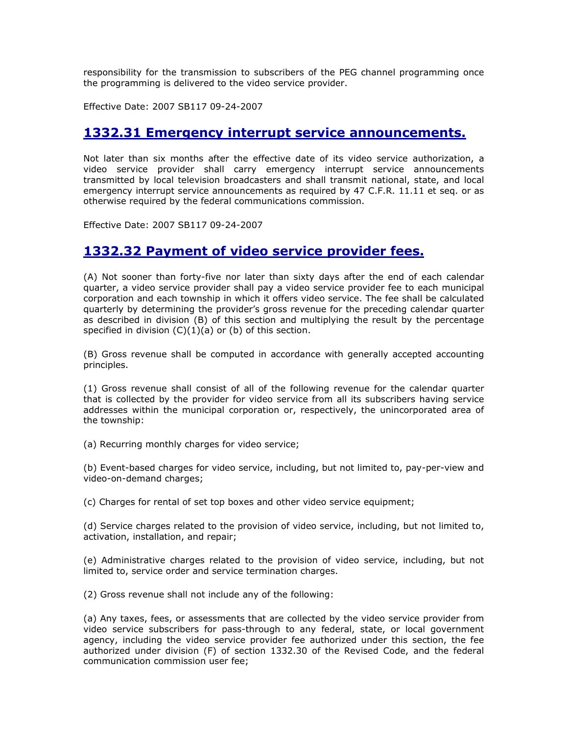responsibility for the transmission to subscribers of the PEG channel programming once the programming is delivered to the video service provider.

Effective Date: 2007 SB117 09-24-2007

#### 1332.31 Emergency interrupt service announcements.

Not later than six months after the effective date of its video service authorization, a video service provider shall carry emergency interrupt service announcements transmitted by local television broadcasters and shall transmit national, state, and local emergency interrupt service announcements as required by 47 C.F.R. 11.11 et seq. or as otherwise required by the federal communications commission.

Effective Date: 2007 SB117 09-24-2007

## 1332.32 Payment of video service provider fees.

(A) Not sooner than forty-five nor later than sixty days after the end of each calendar quarter, a video service provider shall pay a video service provider fee to each municipal corporation and each township in which it offers video service. The fee shall be calculated quarterly by determining the provider's gross revenue for the preceding calendar quarter as described in division (B) of this section and multiplying the result by the percentage specified in division  $(C)(1)(a)$  or  $(b)$  of this section.

(B) Gross revenue shall be computed in accordance with generally accepted accounting principles.

(1) Gross revenue shall consist of all of the following revenue for the calendar quarter that is collected by the provider for video service from all its subscribers having service addresses within the municipal corporation or, respectively, the unincorporated area of the township:

(a) Recurring monthly charges for video service;

(b) Event-based charges for video service, including, but not limited to, pay-per-view and video-on-demand charges;

(c) Charges for rental of set top boxes and other video service equipment;

(d) Service charges related to the provision of video service, including, but not limited to, activation, installation, and repair;

(e) Administrative charges related to the provision of video service, including, but not limited to, service order and service termination charges.

(2) Gross revenue shall not include any of the following:

(a) Any taxes, fees, or assessments that are collected by the video service provider from video service subscribers for pass-through to any federal, state, or local government agency, including the video service provider fee authorized under this section, the fee authorized under division (F) of section 1332.30 of the Revised Code, and the federal communication commission user fee;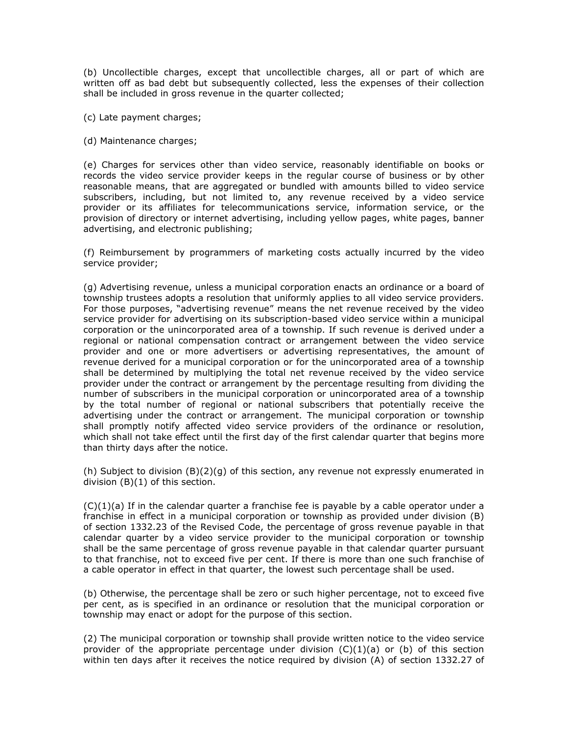(b) Uncollectible charges, except that uncollectible charges, all or part of which are written off as bad debt but subsequently collected, less the expenses of their collection shall be included in gross revenue in the quarter collected;

- (c) Late payment charges;
- (d) Maintenance charges;

(e) Charges for services other than video service, reasonably identifiable on books or records the video service provider keeps in the regular course of business or by other reasonable means, that are aggregated or bundled with amounts billed to video service subscribers, including, but not limited to, any revenue received by a video service provider or its affiliates for telecommunications service, information service, or the provision of directory or internet advertising, including yellow pages, white pages, banner advertising, and electronic publishing;

(f) Reimbursement by programmers of marketing costs actually incurred by the video service provider;

(g) Advertising revenue, unless a municipal corporation enacts an ordinance or a board of township trustees adopts a resolution that uniformly applies to all video service providers. For those purposes, "advertising revenue" means the net revenue received by the video service provider for advertising on its subscription-based video service within a municipal corporation or the unincorporated area of a township. If such revenue is derived under a regional or national compensation contract or arrangement between the video service provider and one or more advertisers or advertising representatives, the amount of revenue derived for a municipal corporation or for the unincorporated area of a township shall be determined by multiplying the total net revenue received by the video service provider under the contract or arrangement by the percentage resulting from dividing the number of subscribers in the municipal corporation or unincorporated area of a township by the total number of regional or national subscribers that potentially receive the advertising under the contract or arrangement. The municipal corporation or township shall promptly notify affected video service providers of the ordinance or resolution, which shall not take effect until the first day of the first calendar quarter that begins more than thirty days after the notice.

(h) Subject to division (B)(2)(g) of this section, any revenue not expressly enumerated in division (B)(1) of this section.

 $(C)(1)(a)$  If in the calendar quarter a franchise fee is payable by a cable operator under a franchise in effect in a municipal corporation or township as provided under division (B) of section 1332.23 of the Revised Code, the percentage of gross revenue payable in that calendar quarter by a video service provider to the municipal corporation or township shall be the same percentage of gross revenue payable in that calendar quarter pursuant to that franchise, not to exceed five per cent. If there is more than one such franchise of a cable operator in effect in that quarter, the lowest such percentage shall be used.

(b) Otherwise, the percentage shall be zero or such higher percentage, not to exceed five per cent, as is specified in an ordinance or resolution that the municipal corporation or township may enact or adopt for the purpose of this section.

(2) The municipal corporation or township shall provide written notice to the video service provider of the appropriate percentage under division  $(C)(1)(a)$  or (b) of this section within ten days after it receives the notice required by division (A) of section 1332.27 of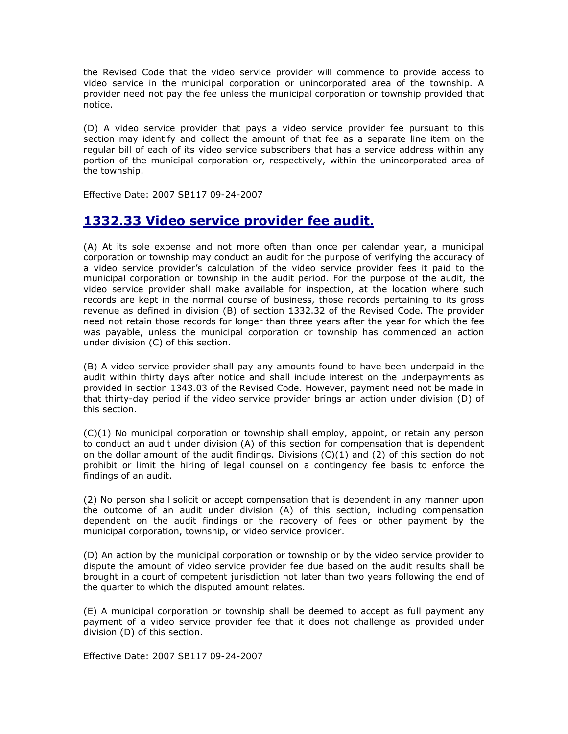the Revised Code that the video service provider will commence to provide access to video service in the municipal corporation or unincorporated area of the township. A provider need not pay the fee unless the municipal corporation or township provided that notice.

(D) A video service provider that pays a video service provider fee pursuant to this section may identify and collect the amount of that fee as a separate line item on the regular bill of each of its video service subscribers that has a service address within any portion of the municipal corporation or, respectively, within the unincorporated area of the township.

Effective Date: 2007 SB117 09-24-2007

## 1332.33 Video service provider fee audit.

(A) At its sole expense and not more often than once per calendar year, a municipal corporation or township may conduct an audit for the purpose of verifying the accuracy of a video service provider's calculation of the video service provider fees it paid to the municipal corporation or township in the audit period. For the purpose of the audit, the video service provider shall make available for inspection, at the location where such records are kept in the normal course of business, those records pertaining to its gross revenue as defined in division (B) of section 1332.32 of the Revised Code. The provider need not retain those records for longer than three years after the year for which the fee was payable, unless the municipal corporation or township has commenced an action under division (C) of this section.

(B) A video service provider shall pay any amounts found to have been underpaid in the audit within thirty days after notice and shall include interest on the underpayments as provided in section 1343.03 of the Revised Code. However, payment need not be made in that thirty-day period if the video service provider brings an action under division (D) of this section.

(C)(1) No municipal corporation or township shall employ, appoint, or retain any person to conduct an audit under division (A) of this section for compensation that is dependent on the dollar amount of the audit findings. Divisions  $(C)(1)$  and  $(2)$  of this section do not prohibit or limit the hiring of legal counsel on a contingency fee basis to enforce the findings of an audit.

(2) No person shall solicit or accept compensation that is dependent in any manner upon the outcome of an audit under division (A) of this section, including compensation dependent on the audit findings or the recovery of fees or other payment by the municipal corporation, township, or video service provider.

(D) An action by the municipal corporation or township or by the video service provider to dispute the amount of video service provider fee due based on the audit results shall be brought in a court of competent jurisdiction not later than two years following the end of the quarter to which the disputed amount relates.

(E) A municipal corporation or township shall be deemed to accept as full payment any payment of a video service provider fee that it does not challenge as provided under division (D) of this section.

Effective Date: 2007 SB117 09-24-2007